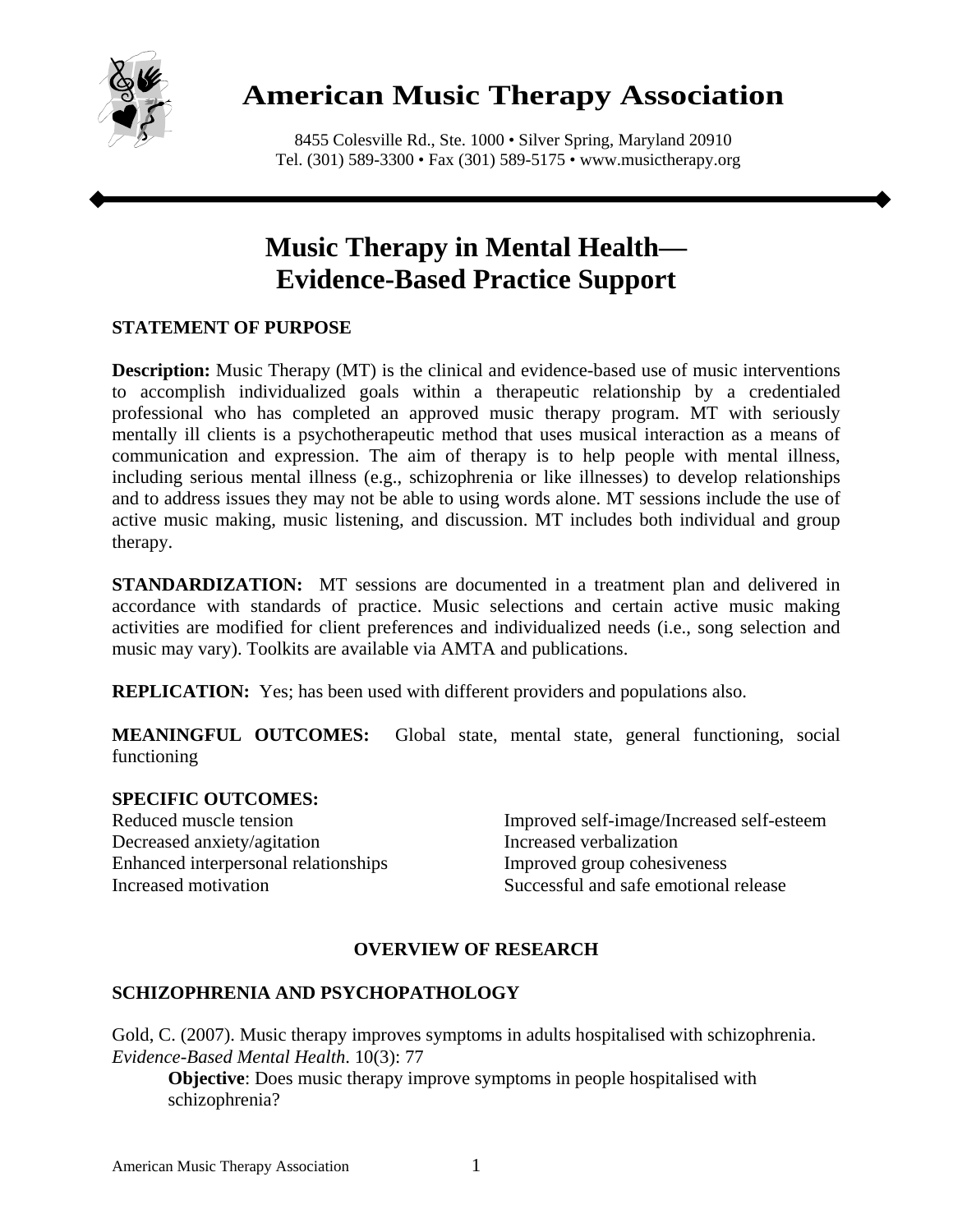

# **American Music Therapy Association**

8455 Colesville Rd., Ste. 1000 • Silver Spring, Maryland 20910 Tel. (301) 589-3300 • Fax (301) 589-5175 • www.musictherapy.org

# **Music Therapy in Mental Health— Evidence-Based Practice Support**

## **STATEMENT OF PURPOSE**

**Description:** Music Therapy (MT) is the clinical and evidence-based use of music interventions to accomplish individualized goals within a therapeutic relationship by a credentialed professional who has completed an approved music therapy program. MT with seriously mentally ill clients is a psychotherapeutic method that uses musical interaction as a means of communication and expression. The aim of therapy is to help people with mental illness, including serious mental illness (e.g., schizophrenia or like illnesses) to develop relationships and to address issues they may not be able to using words alone. MT sessions include the use of active music making, music listening, and discussion. MT includes both individual and group therapy.

**STANDARDIZATION:** MT sessions are documented in a treatment plan and delivered in accordance with standards of practice. Music selections and certain active music making activities are modified for client preferences and individualized needs (i.e., song selection and music may vary). Toolkits are available via AMTA and publications.

**REPLICATION:** Yes; has been used with different providers and populations also.

**MEANINGFUL OUTCOMES:** Global state, mental state, general functioning, social functioning

### **SPECIFIC OUTCOMES:**

Decreased anxiety/agitation Increased verbalization Enhanced interpersonal relationships Improved group cohesiveness

Reduced muscle tension Improved self-image/Increased self-esteem Increased motivation Successful and safe emotional release

# **OVERVIEW OF RESEARCH**

## **SCHIZOPHRENIA AND PSYCHOPATHOLOGY**

Gold, C. (2007). Music therapy improves symptoms in adults hospitalised with schizophrenia. *Evidence-Based Mental Health*. 10(3): 77

**Objective**: Does music therapy improve symptoms in people hospitalised with schizophrenia?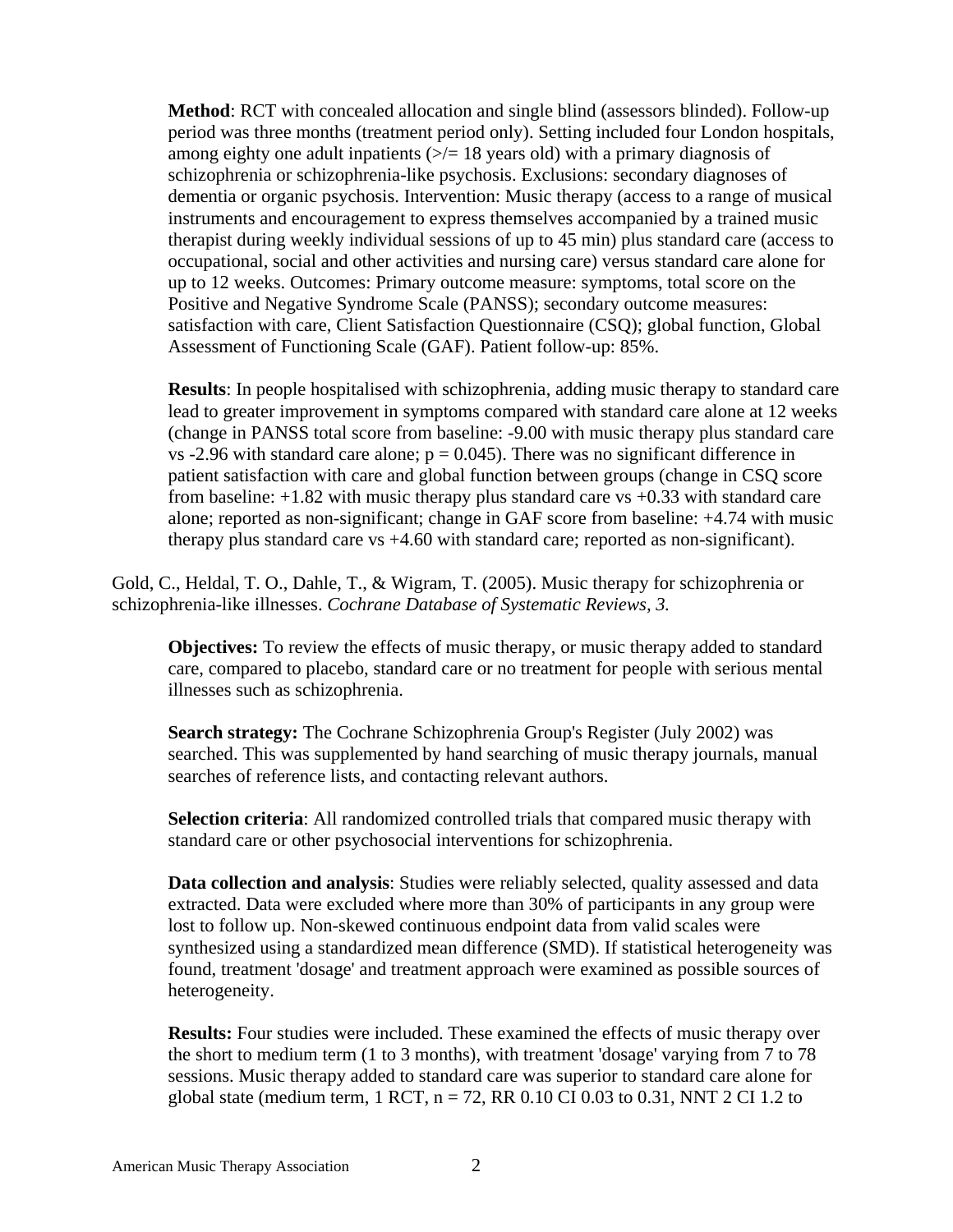**Method**: RCT with concealed allocation and single blind (assessors blinded). Follow-up period was three months (treatment period only). Setting included four London hospitals, among eighty one adult inpatients  $(\geq)$  = 18 years old) with a primary diagnosis of schizophrenia or schizophrenia-like psychosis. Exclusions: secondary diagnoses of dementia or organic psychosis. Intervention: Music therapy (access to a range of musical instruments and encouragement to express themselves accompanied by a trained music therapist during weekly individual sessions of up to 45 min) plus standard care (access to occupational, social and other activities and nursing care) versus standard care alone for up to 12 weeks. Outcomes: Primary outcome measure: symptoms, total score on the Positive and Negative Syndrome Scale (PANSS); secondary outcome measures: satisfaction with care, Client Satisfaction Questionnaire (CSQ); global function, Global Assessment of Functioning Scale (GAF). Patient follow-up: 85%.

**Results**: In people hospitalised with schizophrenia, adding music therapy to standard care lead to greater improvement in symptoms compared with standard care alone at 12 weeks (change in PANSS total score from baseline: -9.00 with music therapy plus standard care vs -2.96 with standard care alone;  $p = 0.045$ ). There was no significant difference in patient satisfaction with care and global function between groups (change in CSQ score from baseline: +1.82 with music therapy plus standard care vs +0.33 with standard care alone; reported as non-significant; change in GAF score from baseline: +4.74 with music therapy plus standard care vs +4.60 with standard care; reported as non-significant).

Gold, C., Heldal, T. O., Dahle, T., & Wigram, T. (2005). Music therapy for schizophrenia or schizophrenia-like illnesses. *Cochrane Database of Systematic Reviews, 3.*

**Objectives:** To review the effects of music therapy, or music therapy added to standard care, compared to placebo, standard care or no treatment for people with serious mental illnesses such as schizophrenia.

**Search strategy:** The Cochrane Schizophrenia Group's Register (July 2002) was searched. This was supplemented by hand searching of music therapy journals, manual searches of reference lists, and contacting relevant authors.

**Selection criteria**: All randomized controlled trials that compared music therapy with standard care or other psychosocial interventions for schizophrenia.

**Data collection and analysis**: Studies were reliably selected, quality assessed and data extracted. Data were excluded where more than 30% of participants in any group were lost to follow up. Non-skewed continuous endpoint data from valid scales were synthesized using a standardized mean difference (SMD). If statistical heterogeneity was found, treatment 'dosage' and treatment approach were examined as possible sources of heterogeneity.

**Results:** Four studies were included. These examined the effects of music therapy over the short to medium term (1 to 3 months), with treatment 'dosage' varying from 7 to 78 sessions. Music therapy added to standard care was superior to standard care alone for global state (medium term,  $1$  RCT,  $n = 72$ , RR 0.10 CI 0.03 to 0.31, NNT 2 CI 1.2 to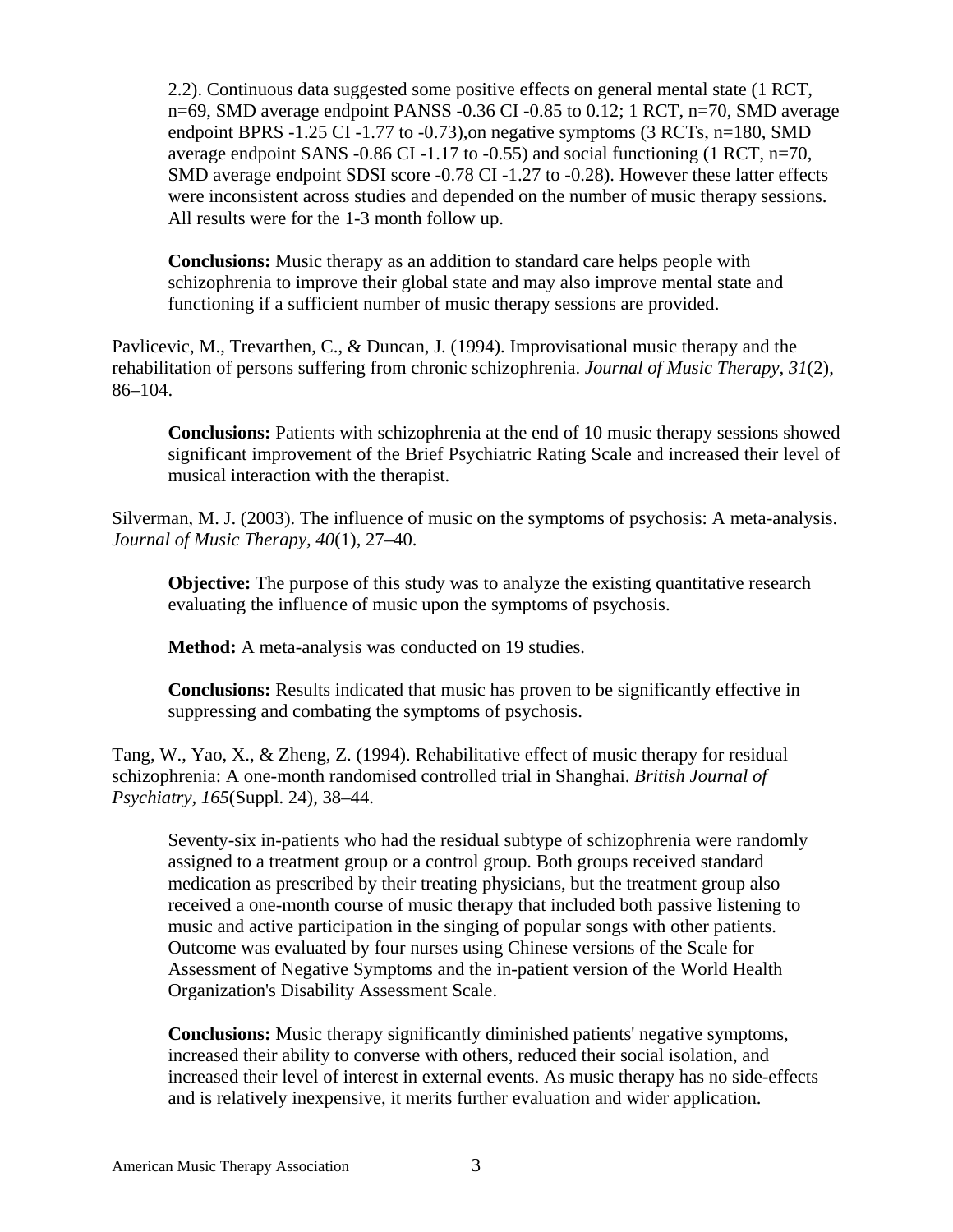2.2). Continuous data suggested some positive effects on general mental state (1 RCT, n=69, SMD average endpoint PANSS -0.36 CI -0.85 to 0.12; 1 RCT, n=70, SMD average endpoint BPRS -1.25 CI -1.77 to -0.73), on negative symptoms  $(3 RCTs, n=180, SMD)$ average endpoint SANS -0.86 CI -1.17 to -0.55) and social functioning (1 RCT, n=70, SMD average endpoint SDSI score -0.78 CI -1.27 to -0.28). However these latter effects were inconsistent across studies and depended on the number of music therapy sessions. All results were for the 1-3 month follow up.

**Conclusions:** Music therapy as an addition to standard care helps people with schizophrenia to improve their global state and may also improve mental state and functioning if a sufficient number of music therapy sessions are provided.

Pavlicevic, M., Trevarthen, C., & Duncan, J. (1994). Improvisational music therapy and the rehabilitation of persons suffering from chronic schizophrenia. *Journal of Music Therapy, 31*(2), 86–104.

**Conclusions:** Patients with schizophrenia at the end of 10 music therapy sessions showed significant improvement of the Brief Psychiatric Rating Scale and increased their level of musical interaction with the therapist.

Silverman, M. J. (2003). The influence of music on the symptoms of psychosis: A meta-analysis. *Journal of Music Therapy, 40*(1), 27–40.

**Objective:** The purpose of this study was to analyze the existing quantitative research evaluating the influence of music upon the symptoms of psychosis.

**Method:** A meta-analysis was conducted on 19 studies.

**Conclusions:** Results indicated that music has proven to be significantly effective in suppressing and combating the symptoms of psychosis.

Tang, W., Yao, X., & Zheng, Z. (1994). Rehabilitative effect of music therapy for residual schizophrenia: A one-month randomised controlled trial in Shanghai. *British Journal of Psychiatry, 165*(Suppl. 24), 38–44.

Seventy-six in-patients who had the residual subtype of schizophrenia were randomly assigned to a treatment group or a control group. Both groups received standard medication as prescribed by their treating physicians, but the treatment group also received a one-month course of music therapy that included both passive listening to music and active participation in the singing of popular songs with other patients. Outcome was evaluated by four nurses using Chinese versions of the Scale for Assessment of Negative Symptoms and the in-patient version of the World Health Organization's Disability Assessment Scale.

**Conclusions:** Music therapy significantly diminished patients' negative symptoms, increased their ability to converse with others, reduced their social isolation, and increased their level of interest in external events. As music therapy has no side-effects and is relatively inexpensive, it merits further evaluation and wider application.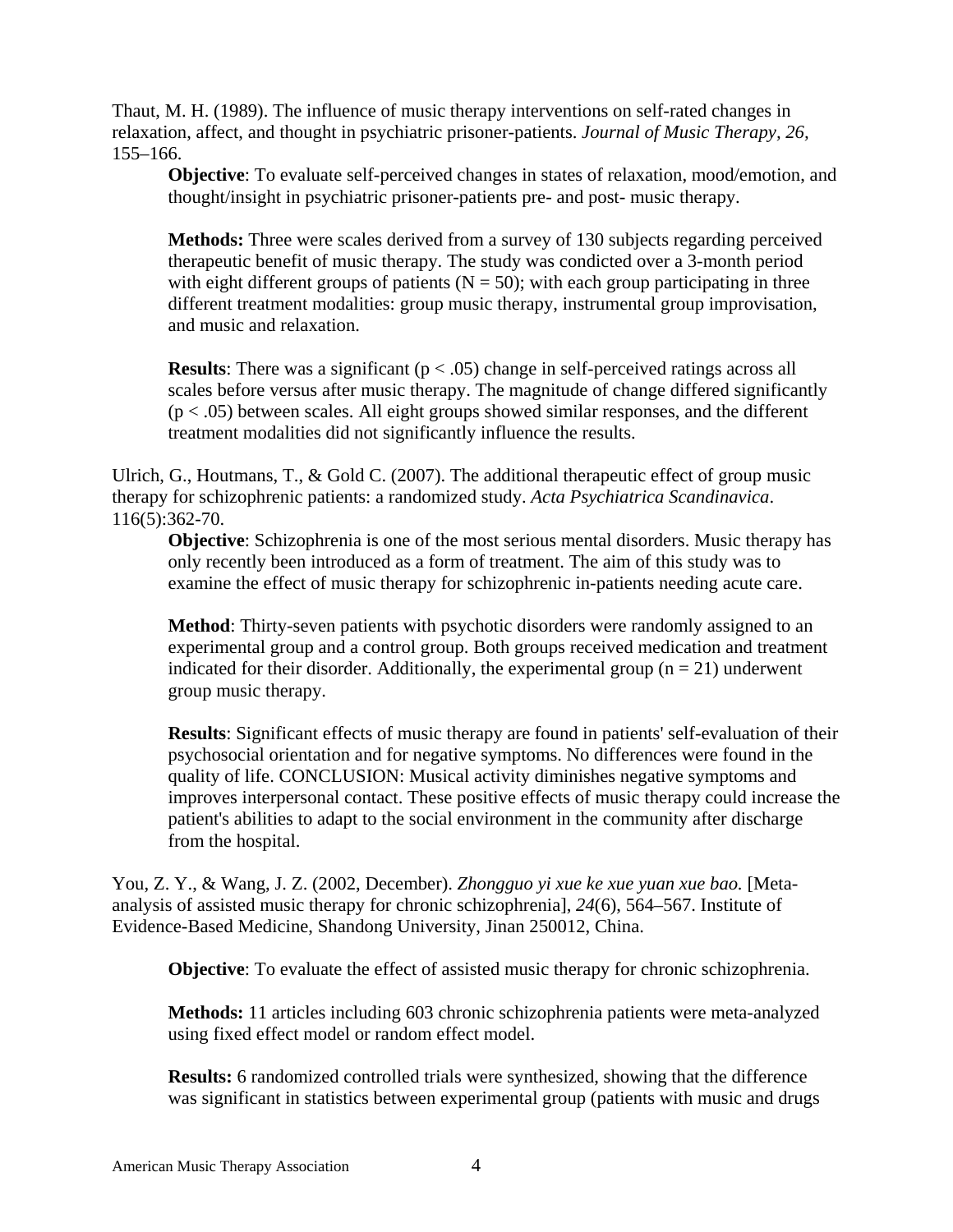Thaut, M. H. (1989). The influence of music therapy interventions on self-rated changes in relaxation, affect, and thought in psychiatric prisoner-patients. *Journal of Music Therapy, 26,*  155–166.

**Objective**: To evaluate self-perceived changes in states of relaxation, mood/emotion, and thought/insight in psychiatric prisoner-patients pre- and post- music therapy.

**Methods:** Three were scales derived from a survey of 130 subjects regarding perceived therapeutic benefit of music therapy. The study was condicted over a 3-month period with eight different groups of patients ( $N = 50$ ); with each group participating in three different treatment modalities: group music therapy, instrumental group improvisation, and music and relaxation.

**Results**: There was a significant  $(p < .05)$  change in self-perceived ratings across all scales before versus after music therapy. The magnitude of change differed significantly  $(p < .05)$  between scales. All eight groups showed similar responses, and the different treatment modalities did not significantly influence the results.

Ulrich, G., Houtmans, T., & Gold C. (2007). The additional therapeutic effect of group music therapy for schizophrenic patients: a randomized study. *Acta Psychiatrica Scandinavica*. 116(5):362-70.

**Objective**: Schizophrenia is one of the most serious mental disorders. Music therapy has only recently been introduced as a form of treatment. The aim of this study was to examine the effect of music therapy for schizophrenic in-patients needing acute care.

**Method**: Thirty-seven patients with psychotic disorders were randomly assigned to an experimental group and a control group. Both groups received medication and treatment indicated for their disorder. Additionally, the experimental group  $(n = 21)$  underwent group music therapy.

**Results**: Significant effects of music therapy are found in patients' self-evaluation of their psychosocial orientation and for negative symptoms. No differences were found in the quality of life. CONCLUSION: Musical activity diminishes negative symptoms and improves interpersonal contact. These positive effects of music therapy could increase the patient's abilities to adapt to the social environment in the community after discharge from the hospital.

You, Z. Y., & Wang, J. Z. (2002, December). *Zhongguo yi xue ke xue yuan xue bao.* [Metaanalysis of assisted music therapy for chronic schizophrenia], *24*(6), 564–567. Institute of Evidence-Based Medicine, Shandong University, Jinan 250012, China.

**Objective**: To evaluate the effect of assisted music therapy for chronic schizophrenia.

**Methods:** 11 articles including 603 chronic schizophrenia patients were meta-analyzed using fixed effect model or random effect model.

**Results:** 6 randomized controlled trials were synthesized, showing that the difference was significant in statistics between experimental group (patients with music and drugs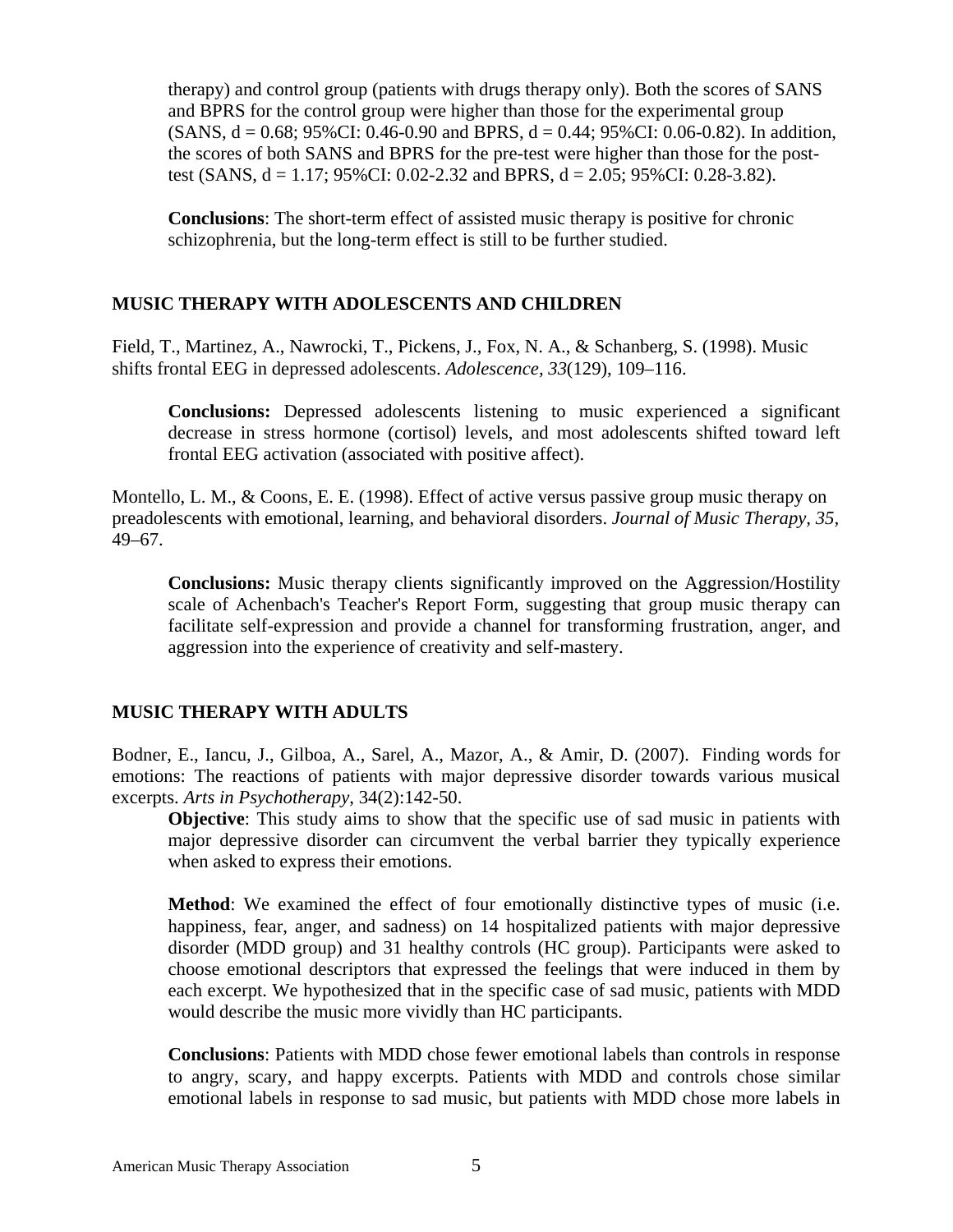therapy) and control group (patients with drugs therapy only). Both the scores of SANS and BPRS for the control group were higher than those for the experimental group  $(SANS, d = 0.68; 95\% CI: 0.46-0.90$  and BPRS,  $d = 0.44; 95\% CI: 0.06-0.82$ . In addition, the scores of both SANS and BPRS for the pre-test were higher than those for the posttest (SANS,  $d = 1.17$ ; 95%CI: 0.02-2.32 and BPRS,  $d = 2.05$ ; 95%CI: 0.28-3.82).

**Conclusions**: The short-term effect of assisted music therapy is positive for chronic schizophrenia, but the long-term effect is still to be further studied.

### **MUSIC THERAPY WITH ADOLESCENTS AND CHILDREN**

Field, T., Martinez, A., Nawrocki, T., Pickens, J., Fox, N. A., & Schanberg, S. (1998). Music shifts frontal EEG in depressed adolescents. *Adolescence, 33*(129), 109–116.

**Conclusions:** Depressed adolescents listening to music experienced a significant decrease in stress hormone (cortisol) levels, and most adolescents shifted toward left frontal EEG activation (associated with positive affect).

Montello, L. M., & Coons, E. E. (1998). Effect of active versus passive group music therapy on preadolescents with emotional, learning, and behavioral disorders. *Journal of Music Therapy, 35,* 49–67.

**Conclusions:** Music therapy clients significantly improved on the Aggression/Hostility scale of Achenbach's Teacher's Report Form, suggesting that group music therapy can facilitate self-expression and provide a channel for transforming frustration, anger, and aggression into the experience of creativity and self-mastery.

### **MUSIC THERAPY WITH ADULTS**

Bodner, E., Iancu, J., Gilboa, A., Sarel, A., Mazor, A., & Amir, D. (2007). Finding words for emotions: The reactions of patients with major depressive disorder towards various musical excerpts. *Arts in Psychotherapy*, 34(2):142-50.

**Objective**: This study aims to show that the specific use of sad music in patients with major depressive disorder can circumvent the verbal barrier they typically experience when asked to express their emotions.

**Method**: We examined the effect of four emotionally distinctive types of music (i.e. happiness, fear, anger, and sadness) on 14 hospitalized patients with major depressive disorder (MDD group) and 31 healthy controls (HC group). Participants were asked to choose emotional descriptors that expressed the feelings that were induced in them by each excerpt. We hypothesized that in the specific case of sad music, patients with MDD would describe the music more vividly than HC participants.

**Conclusions**: Patients with MDD chose fewer emotional labels than controls in response to angry, scary, and happy excerpts. Patients with MDD and controls chose similar emotional labels in response to sad music, but patients with MDD chose more labels in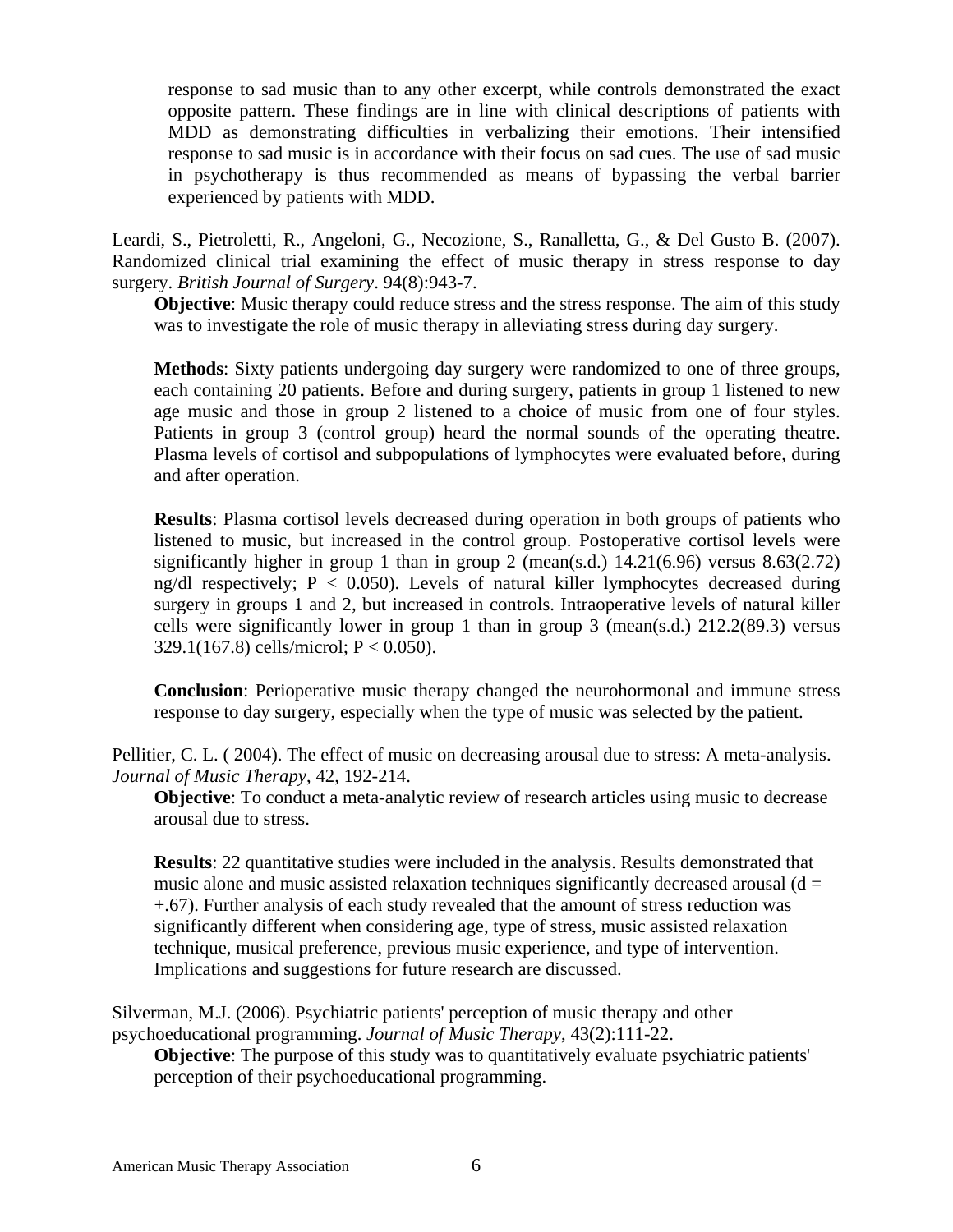response to sad music than to any other excerpt, while controls demonstrated the exact opposite pattern. These findings are in line with clinical descriptions of patients with MDD as demonstrating difficulties in verbalizing their emotions. Their intensified response to sad music is in accordance with their focus on sad cues. The use of sad music in psychotherapy is thus recommended as means of bypassing the verbal barrier experienced by patients with MDD.

Leardi, S., Pietroletti, R., Angeloni, G., Necozione, S., Ranalletta, G., & Del Gusto B. (2007). Randomized clinical trial examining the effect of music therapy in stress response to day surgery. *British Journal of Surgery*. 94(8):943-7.

**Objective**: Music therapy could reduce stress and the stress response. The aim of this study was to investigate the role of music therapy in alleviating stress during day surgery.

**Methods**: Sixty patients undergoing day surgery were randomized to one of three groups, each containing 20 patients. Before and during surgery, patients in group 1 listened to new age music and those in group 2 listened to a choice of music from one of four styles. Patients in group 3 (control group) heard the normal sounds of the operating theatre. Plasma levels of cortisol and subpopulations of lymphocytes were evaluated before, during and after operation.

**Results**: Plasma cortisol levels decreased during operation in both groups of patients who listened to music, but increased in the control group. Postoperative cortisol levels were significantly higher in group 1 than in group 2 (mean(s.d.)  $14.21(6.96)$  versus  $8.63(2.72)$ ng/dl respectively;  $P < 0.050$ ). Levels of natural killer lymphocytes decreased during surgery in groups 1 and 2, but increased in controls. Intraoperative levels of natural killer cells were significantly lower in group 1 than in group 3 (mean(s.d.)  $212.2(89.3)$  versus 329.1(167.8) cells/microl; P < 0.050).

**Conclusion**: Perioperative music therapy changed the neurohormonal and immune stress response to day surgery, especially when the type of music was selected by the patient.

Pellitier, C. L. ( 2004). The effect of music on decreasing arousal due to stress: A meta-analysis. *Journal of Music Therapy*, 42, 192-214.

**Objective**: To conduct a meta-analytic review of research articles using music to decrease arousal due to stress.

**Results**: 22 quantitative studies were included in the analysis. Results demonstrated that music alone and music assisted relaxation techniques significantly decreased arousal ( $d =$ +.67). Further analysis of each study revealed that the amount of stress reduction was significantly different when considering age, type of stress, music assisted relaxation technique, musical preference, previous music experience, and type of intervention. Implications and suggestions for future research are discussed.

Silverman, M.J. (2006). Psychiatric patients' perception of music therapy and other psychoeducational programming. *Journal of Music Therapy*, 43(2):111-22.

**Objective**: The purpose of this study was to quantitatively evaluate psychiatric patients' perception of their psychoeducational programming.